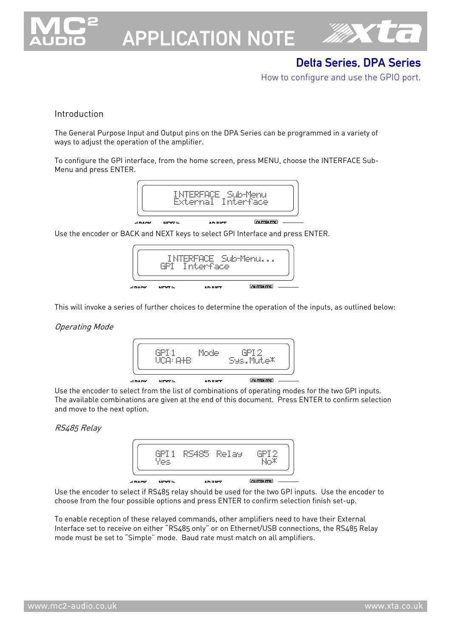

# APPLICATION NOTE



# Delta Series, DPA Series

How to configure and use the GPIO port.

## Introduction

The General Purpose Input and Output pins on the DPA Series can be programmed in a variety of ways to adjust the operation of the amplifier.

To configure the GPI interface, from the home screen, press MENU, choose the INTERFACE Sub-Menu and press ENTER.



Use the encoder or BACK and NEXT keys to select GPI Interface and press ENTER.



This will invoke a series of further choices to determine the operation of the inputs, as outlined below:

#### Operating Mode



Use the encoder to select from the list of combinations of operating modes for the two GPI inputs. The available combinations are given at the end of this document. Press ENTER to confirm selection and move to the next option.

#### RS485 Relay



Use the encoder to select if RS485 relay should be used for the two GPI inputs. Use the encoder to choose from the four possible options and press ENTER to confirm selection finish set-up.

To enable reception of these relayed commands, other amplifiers need to have their External Interface set to receive on either "RS485 only" or on Ethernet/USB connections, the RS485 Relay mode must be set to "Simple" mode. Baud rate must match on all amplifiers.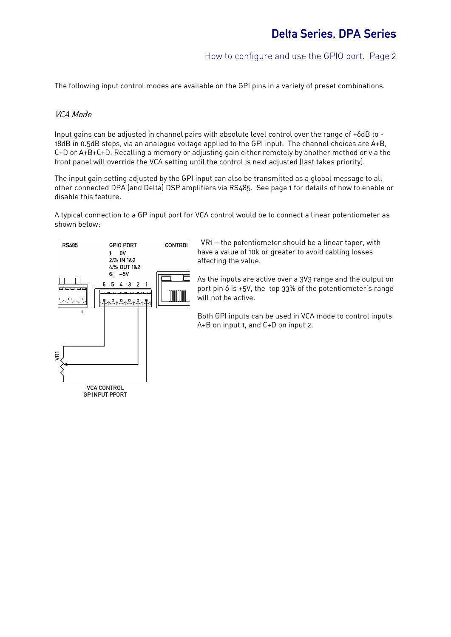# How to configure and use the GPIO port. Page 2

The following input control modes are available on the GPI pins in a variety of preset combinations.

### VCA Mode

Input gains can be adjusted in channel pairs with absolute level control over the range of +6dB to - 18dB in 0.5dB steps, via an analogue voltage applied to the GPI input. The channel choices are A+B, C+D or A+B+C+D. Recalling a memory or adjusting gain either remotely by another method or via the front panel will override the VCA setting until the control is next adjusted (last takes priority).

The input gain setting adjusted by the GPI input can also be transmitted as a global message to all other connected DPA (and Delta) DSP amplifiers via RS485. See page 1 for details of how to enable or disable this feature.

A typical connection to a GP input port for VCA control would be to connect a linear potentiometer as shown below:



 VR1 — the potentiometer should be a linear taper, with have a value of 10k or greater to avoid cabling losses affecting the value.

As the inputs are active over a 3V3 range and the output on port pin 6 is +5V, the top 33% of the potentiometer's range will not be active.

Both GPI inputs can be used in VCA mode to control inputs A+B on input 1, and C+D on input 2.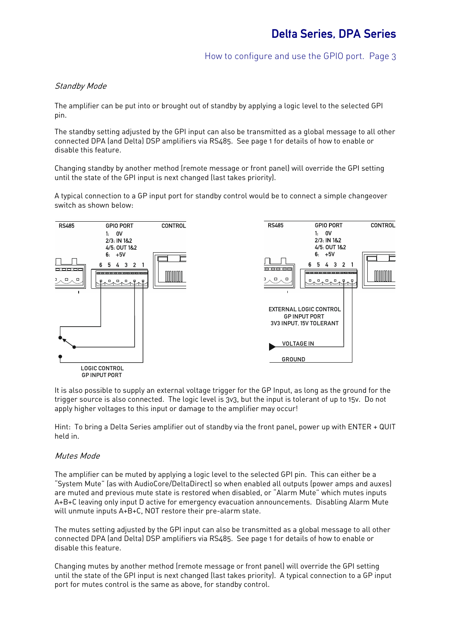# Standby Mode

The amplifier can be put into or brought out of standby by applying a logic level to the selected GPI pin.

The standby setting adjusted by the GPI input can also be transmitted as a global message to all other connected DPA (and Delta) DSP amplifiers via RS485. See page 1 for details of how to enable or disable this feature.

Changing standby by another method (remote message or front panel) will override the GPI setting until the state of the GPI input is next changed (last takes priority).

A typical connection to a GP input port for standby control would be to connect a simple changeover switch as shown below:



It is also possible to supply an external voltage trigger for the GP Input, as long as the ground for the trigger source is also connected. The logic level is 3v3, but the input is tolerant of up to 15v. Do not apply higher voltages to this input or damage to the amplifier may occur!

Hint: To bring a Delta Series amplifier out of standby via the front panel, power up with ENTER + QUIT held in.

#### Mutes Mode

The amplifier can be muted by applying a logic level to the selected GPI pin. This can either be a "System Mute" (as with AudioCore/DeltaDirect) so when enabled all outputs (power amps and auxes) are muted and previous mute state is restored when disabled, or "Alarm Mute" which mutes inputs A+B+C leaving only input D active for emergency evacuation announcements. Disabling Alarm Mute will unmute inputs A+B+C, NOT restore their pre-alarm state.

The mutes setting adjusted by the GPI input can also be transmitted as a global message to all other connected DPA (and Delta) DSP amplifiers via RS485. See page 1 for details of how to enable or disable this feature.

Changing mutes by another method (remote message or front panel) will override the GPI setting until the state of the GPI input is next changed (last takes priority). A typical connection to a GP input port for mutes control is the same as above, for standby control.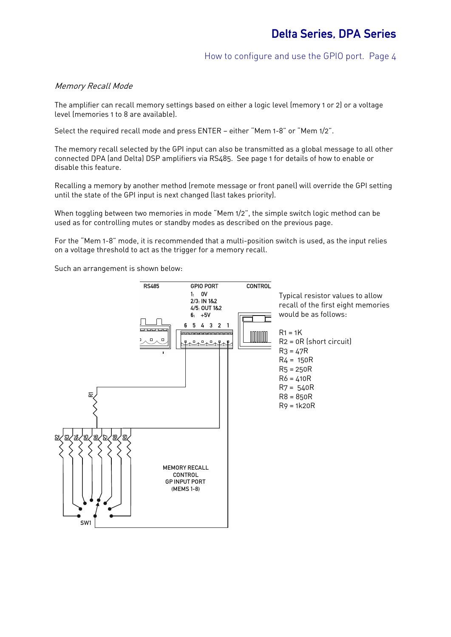# How to configure and use the GPIO port. Page 4

### Memory Recall Mode

The amplifier can recall memory settings based on either a logic level (memory 1 or 2) or a voltage level (memories 1 to 8 are available).

Select the required recall mode and press ENTER — either "Mem 1-8" or "Mem 1/2".

The memory recall selected by the GPI input can also be transmitted as a global message to all other connected DPA (and Delta) DSP amplifiers via RS485. See page 1 for details of how to enable or disable this feature.

Recalling a memory by another method (remote message or front panel) will override the GPI setting until the state of the GPI input is next changed (last takes priority).

When toggling between two memories in mode "Mem 1/2", the simple switch logic method can be used as for controlling mutes or standby modes as described on the previous page.

For the "Mem 1-8" mode, it is recommended that a multi-position switch is used, as the input relies on a voltage threshold to act as the trigger for a memory recall.

Such an arrangement is shown below:

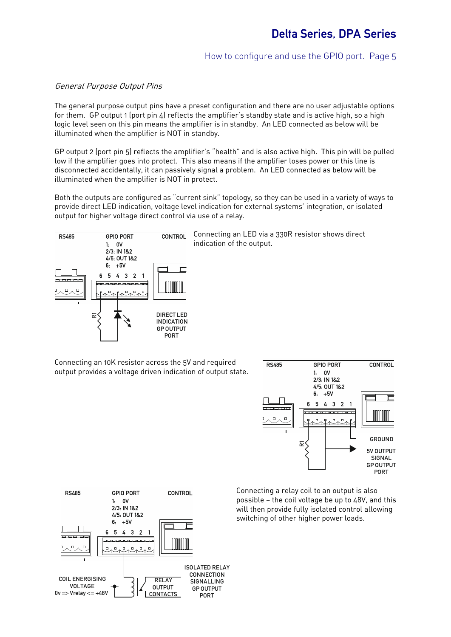# Delta Series, DPA Series

## How to configure and use the GPIO port. Page 5

#### General Purpose Output Pins

The general purpose output pins have a preset configuration and there are no user adjustable options for them. GP output 1 (port pin 4) reflects the amplifier's standby state and is active high, so a high logic level seen on this pin means the amplifier is in standby. An LED connected as below will be illuminated when the amplifier is NOT in standby.

GP output 2 (port pin 5) reflects the amplifier's "health" and is also active high. This pin will be pulled low if the amplifier goes into protect. This also means if the amplifier loses power or this line is disconnected accidentally, it can passively signal a problem. An LED connected as below will be illuminated when the amplifier is NOT in protect.

Both the outputs are configured as "current sink" topology, so they can be used in a variety of ways to provide direct LED indication, voltage level indication for external systems' integration, or isolated output for higher voltage direct control via use of a relay.



CONTROL Connecting an LED via a 330R resistor shows direct indication of the output.

Connecting an 10K resistor across the 5V and required output provides a voltage driven indication of output state.



Connecting a relay coil to an output is also possible — the coil voltage be up to 48V, and this will then provide fully isolated control allowing switching of other higher power loads.